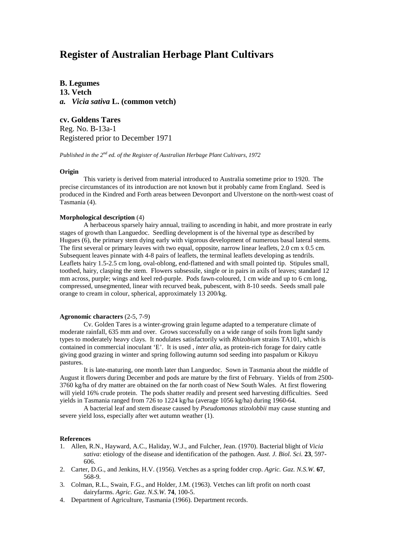# **Register of Australian Herbage Plant Cultivars**

**B. Legumes 13. Vetch** *a. Vicia sativa* **L. (common vetch)**

**cv. Goldens Tares** Reg. No. B-13a-1 Registered prior to December 1971

*Published in the 2nd ed. of the Register of Australian Herbage Plant Cultivars, 1972*

#### **Origin**

This variety is derived from material introduced to Australia sometime prior to 1920. The precise circumstances of its introduction are not known but it probably came from England. Seed is produced in the Kindred and Forth areas between Devonport and Ulverstone on the north-west coast of Tasmania (4).

### **Morphological description** (4)

A herbaceous sparsely hairy annual, trailing to ascending in habit, and more prostrate in early stages of growth than Languedoc. Seedling development is of the hivernal type as described by Hugues (6), the primary stem dying early with vigorous development of numerous basal lateral stems. The first several or primary leaves with two equal, opposite, narrow linear leaflets, 2.0 cm x 0.5 cm. Subsequent leaves pinnate with 4-8 pairs of leaflets, the terminal leaflets developing as tendrils. Leaflets hairy 1.5-2.5 cm long, oval-oblong, end-flattened and with small pointed tip. Stipules small, toothed, hairy, clasping the stem. Flowers subsessile, single or in pairs in axils of leaves; standard 12 mm across, purple; wings and keel red-purple. Pods fawn-coloured, 1 cm wide and up to 6 cm long, compressed, unsegmented, linear with recurved beak, pubescent, with 8-10 seeds. Seeds small pale orange to cream in colour, spherical, approximately 13 200/kg.

## **Agronomic characters** (2-5, 7-9)

Cv. Golden Tares is a winter-growing grain legume adapted to a temperature climate of moderate rainfall, 635 mm and over. Grows successfully on a wide range of soils from light sandy types to moderately heavy clays. It nodulates satisfactorily with *Rhizobium* strains TA101, which is contained in commercial inoculant 'E'. It is used , *inter alia,* as protein-rich forage for dairy cattle giving good grazing in winter and spring following autumn sod seeding into paspalum or Kikuyu pastures.

It is late-maturing, one month later than Languedoc. Sown in Tasmania about the middle of August it flowers during December and pods are mature by the first of February. Yields of from 2500- 3760 kg/ha of dry matter are obtained on the far north coast of New South Wales. At first flowering will yield 16% crude protein. The pods shatter readily and present seed harvesting difficulties. Seed yields in Tasmania ranged from 726 to 1224 kg/ha (average 1056 kg/ha) during 1960-64.

A bacterial leaf and stem disease caused by *Pseudomonas stizolobbii* may cause stunting and severe yield loss, especially after wet autumn weather (1).

### **References**

- 1. Allen, R.N., Hayward, A.C., Haliday, W.J., and Fulcher, Jean. (1970). Bacterial blight of *Vicia sativa*: etiology of the disease and identification of the pathogen. *Aust. J. Biol. Sci.* **23**, 597- 606.
- 2. Carter, D.G., and Jenkins, H.V. (1956). Vetches as a spring fodder crop. *Agric. Gaz. N.S.W.* **67**, 568-9.
- 3. Colman, R.L., Swain, F.G., and Holder, J.M. (1963). Vetches can lift profit on north coast dairyfarms. *Agric. Gaz. N.S.W.* **74**, 100-5.
- 4. Department of Agriculture, Tasmania (1966). Department records.